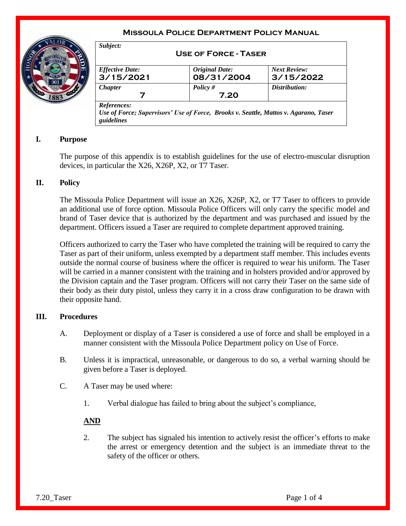# **Missoula Police Department Policy Manual**



| <b>Effective Date:</b> | <b>Original Date:</b> | <b>Next Review:</b> |
|------------------------|-----------------------|---------------------|
| 3/15/2021              | 08/31/2004            | 3/15/2022           |
| <b>Chapter</b>         | Policy $#$            | Distribution:       |
| 7                      | 7.20                  |                     |

## **I. Purpose**

The purpose of this appendix is to establish guidelines for the use of electro-muscular disruption devices, in particular the X26, X26P, X2, or T7 Taser.

## **II. Policy**

The Missoula Police Department will issue an X26, X26P, X2, or T7 Taser to officers to provide an additional use of force option. Missoula Police Officers will only carry the specific model and brand of Taser device that is authorized by the department and was purchased and issued by the department. Officers issued a Taser are required to complete department approved training.

Officers authorized to carry the Taser who have completed the training will be required to carry the Taser as part of their uniform, unless exempted by a department staff member. This includes events outside the normal course of business where the officer is required to wear his uniform. The Taser will be carried in a manner consistent with the training and in holsters provided and/or approved by the Division captain and the Taser program. Officers will not carry their Taser on the same side of their body as their duty pistol, unless they carry it in a cross draw configuration to be drawn with their opposite hand.

#### **III. Procedures**

- A. Deployment or display of a Taser is considered a use of force and shall be employed in a manner consistent with the Missoula Police Department policy on Use of Force.
- B. Unless it is impractical, unreasonable, or dangerous to do so, a verbal warning should be given before a Taser is deployed.
- C. A Taser may be used where:
	- 1. Verbal dialogue has failed to bring about the subject's compliance,

## **AND**

2. The subject has signaled his intention to actively resist the officer's efforts to make the arrest or emergency detention and the subject is an immediate threat to the safety of the officer or others.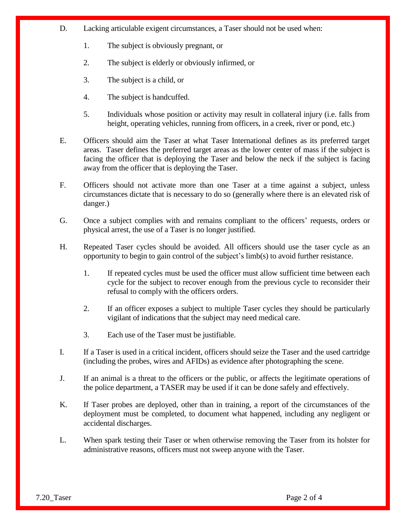- D. Lacking articulable exigent circumstances, a Taser should not be used when:
	- 1. The subject is obviously pregnant, or
	- 2. The subject is elderly or obviously infirmed, or
	- 3. The subject is a child, or
	- 4. The subject is handcuffed.
	- 5. Individuals whose position or activity may result in collateral injury (i.e. falls from height, operating vehicles, running from officers, in a creek, river or pond, etc.)
- E. Officers should aim the Taser at what Taser International defines as its preferred target areas. Taser defines the preferred target areas as the lower center of mass if the subject is facing the officer that is deploying the Taser and below the neck if the subject is facing away from the officer that is deploying the Taser.
- F. Officers should not activate more than one Taser at a time against a subject, unless circumstances dictate that is necessary to do so (generally where there is an elevated risk of danger.)
- G. Once a subject complies with and remains compliant to the officers' requests, orders or physical arrest, the use of a Taser is no longer justified.
- H. Repeated Taser cycles should be avoided. All officers should use the taser cycle as an opportunity to begin to gain control of the subject's limb(s) to avoid further resistance.
	- 1. If repeated cycles must be used the officer must allow sufficient time between each cycle for the subject to recover enough from the previous cycle to reconsider their refusal to comply with the officers orders.
	- 2. If an officer exposes a subject to multiple Taser cycles they should be particularly vigilant of indications that the subject may need medical care.
	- 3. Each use of the Taser must be justifiable.
- I. If a Taser is used in a critical incident, officers should seize the Taser and the used cartridge (including the probes, wires and AFIDs) as evidence after photographing the scene.
- J. If an animal is a threat to the officers or the public, or affects the legitimate operations of the police department, a TASER may be used if it can be done safely and effectively.
- K. If Taser probes are deployed, other than in training, a report of the circumstances of the deployment must be completed, to document what happened, including any negligent or accidental discharges.
- L. When spark testing their Taser or when otherwise removing the Taser from its holster for administrative reasons, officers must not sweep anyone with the Taser.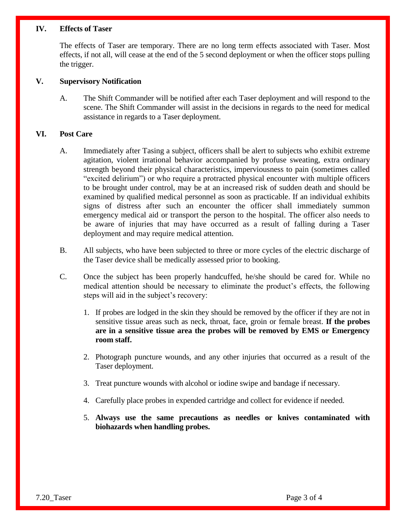#### **IV. Effects of Taser**

The effects of Taser are temporary. There are no long term effects associated with Taser. Most effects, if not all, will cease at the end of the 5 second deployment or when the officer stops pulling the trigger.

## **V. Supervisory Notification**

A. The Shift Commander will be notified after each Taser deployment and will respond to the scene. The Shift Commander will assist in the decisions in regards to the need for medical assistance in regards to a Taser deployment.

### **VI. Post Care**

- A. Immediately after Tasing a subject, officers shall be alert to subjects who exhibit extreme agitation, violent irrational behavior accompanied by profuse sweating, extra ordinary strength beyond their physical characteristics, imperviousness to pain (sometimes called "excited delirium") or who require a protracted physical encounter with multiple officers to be brought under control, may be at an increased risk of sudden death and should be examined by qualified medical personnel as soon as practicable. If an individual exhibits signs of distress after such an encounter the officer shall immediately summon emergency medical aid or transport the person to the hospital. The officer also needs to be aware of injuries that may have occurred as a result of falling during a Taser deployment and may require medical attention.
- B. All subjects, who have been subjected to three or more cycles of the electric discharge of the Taser device shall be medically assessed prior to booking.
- C. Once the subject has been properly handcuffed, he/she should be cared for. While no medical attention should be necessary to eliminate the product's effects, the following steps will aid in the subject's recovery:
	- 1. If probes are lodged in the skin they should be removed by the officer if they are not in sensitive tissue areas such as neck, throat, face, groin or female breast. **If the probes are in a sensitive tissue area the probes will be removed by EMS or Emergency room staff.**
	- 2. Photograph puncture wounds, and any other injuries that occurred as a result of the Taser deployment.
	- 3. Treat puncture wounds with alcohol or iodine swipe and bandage if necessary.
	- 4. Carefully place probes in expended cartridge and collect for evidence if needed.
	- 5. **Always use the same precautions as needles or knives contaminated with biohazards when handling probes.**